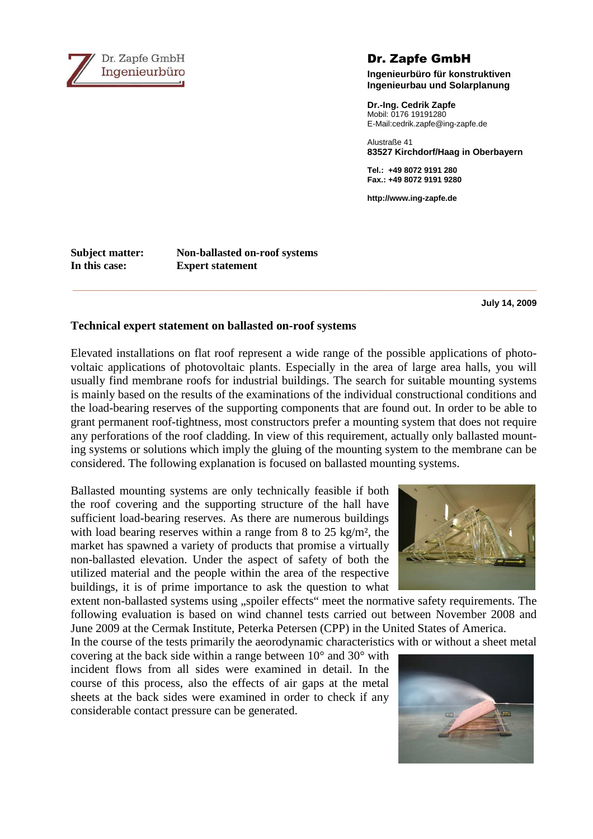

Dr. Zapfe GmbH

**Ingenieurbüro für konstruktiven Ingenieurbau und Solarplanung** 

**Dr.-Ing. Cedrik Zapfe**  Mobil: 0176 19191280 E-Mail:cedrik.zapfe@ing-zapfe.de

Alustraße 41 **83527 Kirchdorf/Haag in Oberbayern** 

**Tel.: +49 8072 9191 280 Fax.: +49 8072 9191 9280** 

**http://www.ing-zapfe.de** 

**Subject matter: Non-ballasted on-roof systems In this case: Expert statement**

**July 14, 2009** 

## **Technical expert statement on ballasted on-roof systems**

Elevated installations on flat roof represent a wide range of the possible applications of photovoltaic applications of photovoltaic plants. Especially in the area of large area halls, you will usually find membrane roofs for industrial buildings. The search for suitable mounting systems is mainly based on the results of the examinations of the individual constructional conditions and the load-bearing reserves of the supporting components that are found out. In order to be able to grant permanent roof-tightness, most constructors prefer a mounting system that does not require any perforations of the roof cladding. In view of this requirement, actually only ballasted mounting systems or solutions which imply the gluing of the mounting system to the membrane can be considered. The following explanation is focused on ballasted mounting systems.

**\_\_\_\_\_\_\_\_\_\_\_\_\_\_\_\_\_\_\_\_\_\_\_\_\_\_\_\_\_\_\_\_\_\_\_\_\_\_\_\_\_\_\_\_\_\_\_\_\_\_\_\_\_\_\_\_\_\_\_\_\_\_\_\_\_\_\_\_\_\_\_\_\_\_\_\_\_\_\_\_\_\_\_\_\_\_\_\_\_\_\_\_\_** 

Ballasted mounting systems are only technically feasible if both the roof covering and the supporting structure of the hall have sufficient load-bearing reserves. As there are numerous buildings with load bearing reserves within a range from 8 to 25 kg/m<sup>2</sup>, the market has spawned a variety of products that promise a virtually non-ballasted elevation. Under the aspect of safety of both the utilized material and the people within the area of the respective buildings, it is of prime importance to ask the question to what

extent non-ballasted systems using "spoiler effects" meet the normative safety requirements. The following evaluation is based on wind channel tests carried out between November 2008 and June 2009 at the Cermak Institute, Peterka Petersen (CPP) in the United States of America.

In the course of the tests primarily the aeorodynamic characteristics with or without a sheet metal

covering at the back side within a range between 10° and 30° with incident flows from all sides were examined in detail. In the course of this process, also the effects of air gaps at the metal sheets at the back sides were examined in order to check if any considerable contact pressure can be generated.



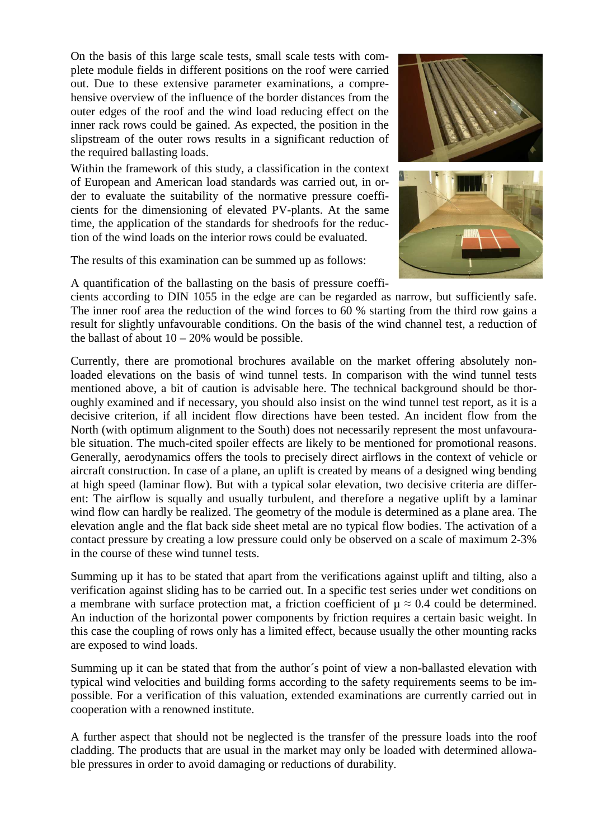On the basis of this large scale tests, small scale tests with complete module fields in different positions on the roof were carried out. Due to these extensive parameter examinations, a comprehensive overview of the influence of the border distances from the outer edges of the roof and the wind load reducing effect on the inner rack rows could be gained. As expected, the position in the slipstream of the outer rows results in a significant reduction of the required ballasting loads.

Within the framework of this study, a classification in the context of European and American load standards was carried out, in order to evaluate the suitability of the normative pressure coefficients for the dimensioning of elevated PV-plants. At the same time, the application of the standards for shedroofs for the reduction of the wind loads on the interior rows could be evaluated.

The results of this examination can be summed up as follows:



A quantification of the ballasting on the basis of pressure coeffi-

cients according to DIN 1055 in the edge are can be regarded as narrow, but sufficiently safe. The inner roof area the reduction of the wind forces to 60 % starting from the third row gains a result for slightly unfavourable conditions. On the basis of the wind channel test, a reduction of the ballast of about  $10 - 20\%$  would be possible.

Currently, there are promotional brochures available on the market offering absolutely nonloaded elevations on the basis of wind tunnel tests. In comparison with the wind tunnel tests mentioned above, a bit of caution is advisable here. The technical background should be thoroughly examined and if necessary, you should also insist on the wind tunnel test report, as it is a decisive criterion, if all incident flow directions have been tested. An incident flow from the North (with optimum alignment to the South) does not necessarily represent the most unfavourable situation. The much-cited spoiler effects are likely to be mentioned for promotional reasons. Generally, aerodynamics offers the tools to precisely direct airflows in the context of vehicle or aircraft construction. In case of a plane, an uplift is created by means of a designed wing bending at high speed (laminar flow). But with a typical solar elevation, two decisive criteria are different: The airflow is squally and usually turbulent, and therefore a negative uplift by a laminar wind flow can hardly be realized. The geometry of the module is determined as a plane area. The elevation angle and the flat back side sheet metal are no typical flow bodies. The activation of a contact pressure by creating a low pressure could only be observed on a scale of maximum 2-3% in the course of these wind tunnel tests.

Summing up it has to be stated that apart from the verifications against uplift and tilting, also a verification against sliding has to be carried out. In a specific test series under wet conditions on a membrane with surface protection mat, a friction coefficient of  $\mu \approx 0.4$  could be determined. An induction of the horizontal power components by friction requires a certain basic weight. In this case the coupling of rows only has a limited effect, because usually the other mounting racks are exposed to wind loads.

Summing up it can be stated that from the author´s point of view a non-ballasted elevation with typical wind velocities and building forms according to the safety requirements seems to be impossible. For a verification of this valuation, extended examinations are currently carried out in cooperation with a renowned institute.

A further aspect that should not be neglected is the transfer of the pressure loads into the roof cladding. The products that are usual in the market may only be loaded with determined allowable pressures in order to avoid damaging or reductions of durability.